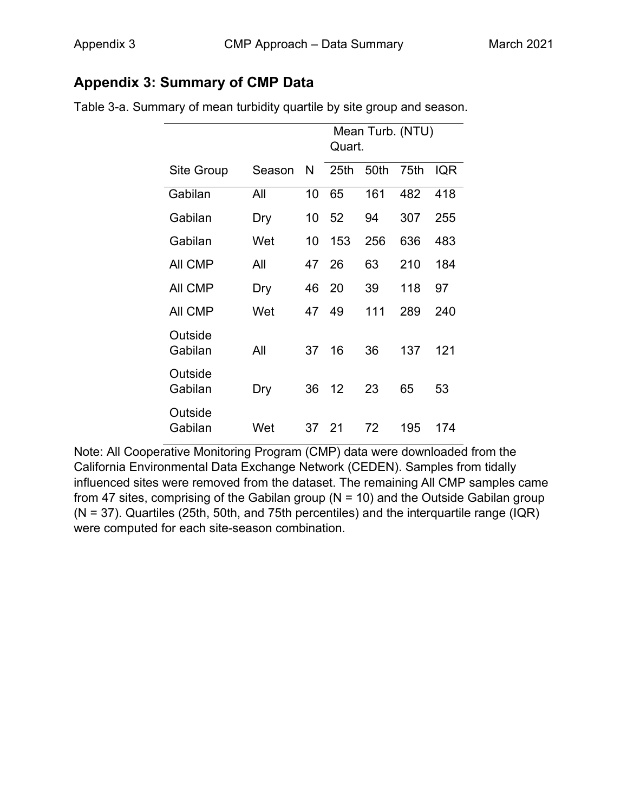## **Appendix 3: Summary of CMP Data**

|                    |        |    | Quart. |      | Mean Turb. (NTU) |     |
|--------------------|--------|----|--------|------|------------------|-----|
| Site Group         | Season | N  | 25th   | 50th | 75th             | IQR |
| Gabilan            | All    | 10 | 65     | 161  | 482              | 418 |
| Gabilan            | Dry    | 10 | 52     | 94   | 307              | 255 |
| Gabilan            | Wet    | 10 | 153    | 256  | 636              | 483 |
| All CMP            | All    | 47 | 26     | 63   | 210              | 184 |
| <b>AII CMP</b>     | Dry    | 46 | 20     | 39   | 118              | 97  |
| All CMP            | Wet    | 47 | 49     | 111  | 289              | 240 |
| Outside<br>Gabilan | All    | 37 | 16     | 36   | 137              | 121 |
| Outside<br>Gabilan | Dry    | 36 | 12     | 23   | 65               | 53  |
| Outside<br>Gabilan | Wet    | 37 | 21     | 72   | 195              | 174 |

Table 3-a. Summary of mean turbidity quartile by site group and season.

Note: All Cooperative Monitoring Program (CMP) data were downloaded from the California Environmental Data Exchange Network (CEDEN). Samples from tidally influenced sites were removed from the dataset. The remaining All CMP samples came from 47 sites, comprising of the Gabilan group ( $N = 10$ ) and the Outside Gabilan group (N = 37). Quartiles (25th, 50th, and 75th percentiles) and the interquartile range (IQR) were computed for each site-season combination.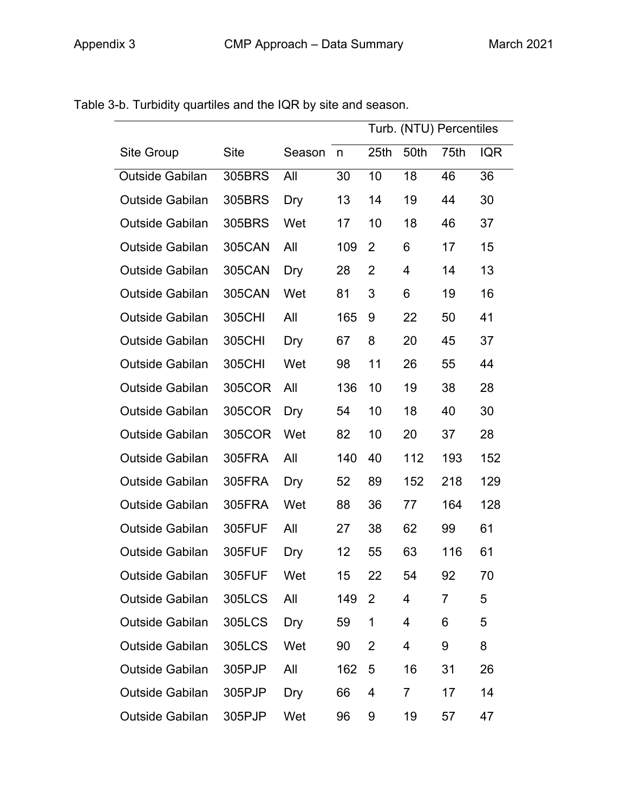|                        |               |            |     |                  |      | Turb. (NTU) Percentiles |            |
|------------------------|---------------|------------|-----|------------------|------|-------------------------|------------|
| Site Group             | Site          | Season     | n   | 25 <sub>th</sub> | 50th | 75th                    | <b>IQR</b> |
| Outside Gabilan        | 305BRS        | All        | 30  | 10               | 18   | 46                      | 36         |
| <b>Outside Gabilan</b> | 305BRS        | <b>Dry</b> | 13  | 14               | 19   | 44                      | 30         |
| <b>Outside Gabilan</b> | 305BRS        | Wet        | 17  | 10               | 18   | 46                      | 37         |
| <b>Outside Gabilan</b> | <b>305CAN</b> | All        | 109 | 2                | 6    | 17                      | 15         |
| <b>Outside Gabilan</b> | <b>305CAN</b> | Dry        | 28  | $\overline{2}$   | 4    | 14                      | 13         |
| <b>Outside Gabilan</b> | <b>305CAN</b> | Wet        | 81  | 3                | 6    | 19                      | 16         |
| <b>Outside Gabilan</b> | 305CHI        | All        | 165 | 9                | 22   | 50                      | 41         |
| <b>Outside Gabilan</b> | 305CHI        | Dry        | 67  | 8                | 20   | 45                      | 37         |
| <b>Outside Gabilan</b> | 305CHI        | Wet        | 98  | 11               | 26   | 55                      | 44         |
| <b>Outside Gabilan</b> | 305COR        | All        | 136 | 10               | 19   | 38                      | 28         |
| <b>Outside Gabilan</b> | 305COR        | Dry        | 54  | 10               | 18   | 40                      | 30         |
| <b>Outside Gabilan</b> | 305COR        | Wet        | 82  | 10               | 20   | 37                      | 28         |
| <b>Outside Gabilan</b> | 305FRA        | All        | 140 | 40               | 112  | 193                     | 152        |
| <b>Outside Gabilan</b> | 305FRA        | Dry        | 52  | 89               | 152  | 218                     | 129        |
| <b>Outside Gabilan</b> | 305FRA        | Wet        | 88  | 36               | 77   | 164                     | 128        |
| <b>Outside Gabilan</b> | 305FUF        | All        | 27  | 38               | 62   | 99                      | 61         |
| <b>Outside Gabilan</b> | 305FUF        | Dry        | 12  | 55               | 63   | 116                     | 61         |
| <b>Outside Gabilan</b> | 305FUF        | Wet        | 15  | 22               | 54   | 92                      | 70         |
| <b>Outside Gabilan</b> | <b>305LCS</b> | All        | 149 | $\overline{2}$   | 4    | 7                       | 5          |
| <b>Outside Gabilan</b> | 305LCS        | Dry        | 59  | 1                | 4    | 6                       | 5          |
| <b>Outside Gabilan</b> | 305LCS        | Wet        | 90  | $\overline{2}$   | 4    | 9                       | 8          |
| <b>Outside Gabilan</b> | 305PJP        | All        | 162 | 5                | 16   | 31                      | 26         |
| <b>Outside Gabilan</b> | 305PJP        | Dry        | 66  | 4                | 7    | 17                      | 14         |
| <b>Outside Gabilan</b> | 305PJP        | Wet        | 96  | 9                | 19   | 57                      | 47         |

Table 3-b. Turbidity quartiles and the IQR by site and season.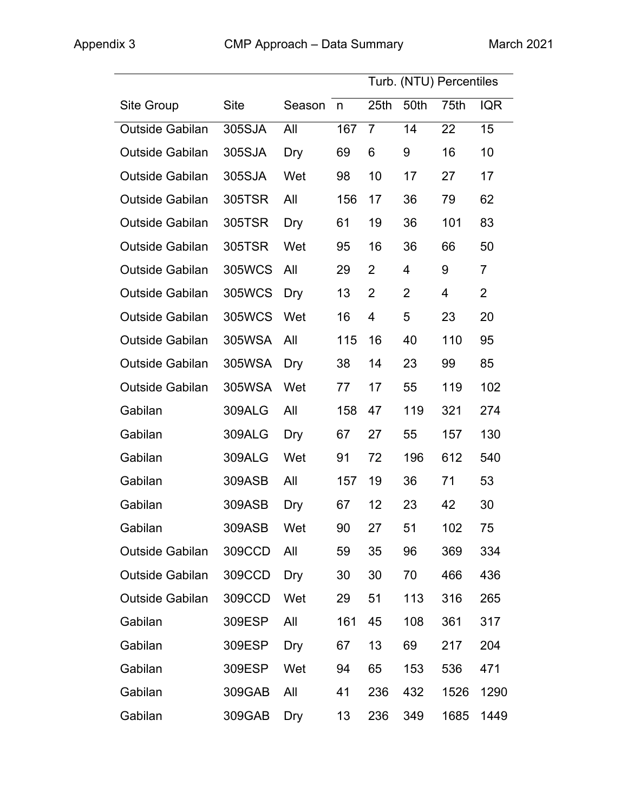|                        |             |        |     |                |                | Turb. (NTU) Percentiles |                |
|------------------------|-------------|--------|-----|----------------|----------------|-------------------------|----------------|
| Site Group             | <b>Site</b> | Season | n   | 25th           | 50th           | 75th                    | <b>IQR</b>     |
| <b>Outside Gabilan</b> | 305SJA      | All    | 167 | $\overline{7}$ | 14             | 22                      | 15             |
| <b>Outside Gabilan</b> | 305SJA      | Dry    | 69  | 6              | 9              | 16                      | 10             |
| <b>Outside Gabilan</b> | 305SJA      | Wet    | 98  | 10             | 17             | 27                      | 17             |
| <b>Outside Gabilan</b> | 305TSR      | All    | 156 | 17             | 36             | 79                      | 62             |
| <b>Outside Gabilan</b> | 305TSR      | Dry    | 61  | 19             | 36             | 101                     | 83             |
| <b>Outside Gabilan</b> | 305TSR      | Wet    | 95  | 16             | 36             | 66                      | 50             |
| <b>Outside Gabilan</b> | 305WCS      | All    | 29  | $\overline{2}$ | 4              | 9                       | $\overline{7}$ |
| <b>Outside Gabilan</b> | 305WCS      | Dry    | 13  | $\overline{2}$ | $\overline{2}$ | 4                       | $\overline{2}$ |
| <b>Outside Gabilan</b> | 305WCS      | Wet    | 16  | 4              | 5              | 23                      | 20             |
| <b>Outside Gabilan</b> | 305WSA      | All    | 115 | 16             | 40             | 110                     | 95             |
| <b>Outside Gabilan</b> | 305WSA      | Dry    | 38  | 14             | 23             | 99                      | 85             |
| <b>Outside Gabilan</b> | 305WSA      | Wet    | 77  | 17             | 55             | 119                     | 102            |
| Gabilan                | 309ALG      | All    | 158 | 47             | 119            | 321                     | 274            |
| Gabilan                | 309ALG      | Dry    | 67  | 27             | 55             | 157                     | 130            |
| Gabilan                | 309ALG      | Wet    | 91  | 72             | 196            | 612                     | 540            |
| Gabilan                | 309ASB      | All    | 157 | 19             | 36             | 71                      | 53             |
| Gabilan                | 309ASB      | Dry    | 67  | 12             | 23             | 42                      | 30             |
| Gabilan                | 309ASB      | Wet    | 90  | 27             | 51             | 102                     | 75             |
| <b>Outside Gabilan</b> | 309CCD      | All    | 59  | 35             | 96             | 369                     | 334            |
| <b>Outside Gabilan</b> | 309CCD      | Dry    | 30  | 30             | 70             | 466                     | 436            |
| <b>Outside Gabilan</b> | 309CCD      | Wet    | 29  | 51             | 113            | 316                     | 265            |
| Gabilan                | 309ESP      | All    | 161 | 45             | 108            | 361                     | 317            |
| Gabilan                | 309ESP      | Dry    | 67  | 13             | 69             | 217                     | 204            |
| Gabilan                | 309ESP      | Wet    | 94  | 65             | 153            | 536                     | 471            |
| Gabilan                | 309GAB      | All    | 41  | 236            | 432            | 1526                    | 1290           |
| Gabilan                | 309GAB      | Dry    | 13  | 236            | 349            | 1685                    | 1449           |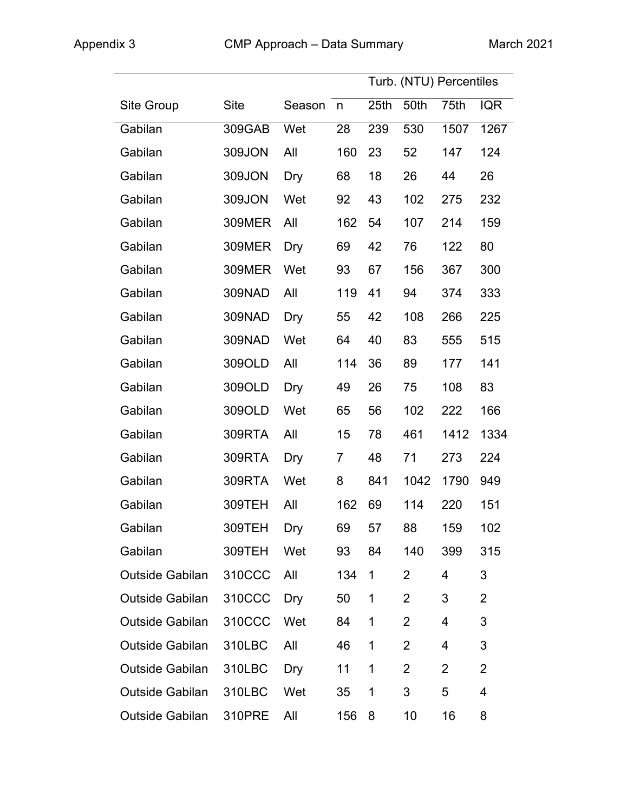|                        |               |        |     |                  |                | Turb. (NTU) Percentiles |                |
|------------------------|---------------|--------|-----|------------------|----------------|-------------------------|----------------|
| <b>Site Group</b>      | <b>Site</b>   | Season | n   | 25 <sub>th</sub> | 50th           | 75th                    | <b>IQR</b>     |
| Gabilan                | 309GAB        | Wet    | 28  | 239              | 530            | 1507                    | 1267           |
| Gabilan                | 309JON        | All    | 160 | 23               | 52             | 147                     | 124            |
| Gabilan                | 309JON        | Dry    | 68  | 18               | 26             | 44                      | 26             |
| Gabilan                | 309JON        | Wet    | 92  | 43               | 102            | 275                     | 232            |
| Gabilan                | <b>309MER</b> | All    | 162 | 54               | 107            | 214                     | 159            |
| Gabilan                | <b>309MER</b> | Dry    | 69  | 42               | 76             | 122                     | 80             |
| Gabilan                | <b>309MER</b> | Wet    | 93  | 67               | 156            | 367                     | 300            |
| Gabilan                | 309NAD        | All    | 119 | 41               | 94             | 374                     | 333            |
| Gabilan                | 309NAD        | Dry    | 55  | 42               | 108            | 266                     | 225            |
| Gabilan                | 309NAD        | Wet    | 64  | 40               | 83             | 555                     | 515            |
| Gabilan                | 309OLD        | All    | 114 | 36               | 89             | 177                     | 141            |
| Gabilan                | 309OLD        | Dry    | 49  | 26               | 75             | 108                     | 83             |
| Gabilan                | 309OLD        | Wet    | 65  | 56               | 102            | 222                     | 166            |
| Gabilan                | 309RTA        | All    | 15  | 78               | 461            | 1412                    | 1334           |
| Gabilan                | 309RTA        | Dry    | 7   | 48               | 71             | 273                     | 224            |
| Gabilan                | 309RTA        | Wet    | 8   | 841              | 1042           | 1790                    | 949            |
| Gabilan                | 309TEH        | All    | 162 | 69               | 114            | 220                     | 151            |
| Gabilan                | 309TEH Dry    |        | 69  | 57               | 88             | 159                     | 102            |
| Gabilan                | 309TEH        | Wet    | 93  | 84               | 140            | 399                     | 315            |
| <b>Outside Gabilan</b> | 310CCC        | All    | 134 | 1                | $\overline{2}$ | $\overline{4}$          | 3              |
| Outside Gabilan        | 310CCC        | Dry    | 50  | 1                | $\overline{2}$ | 3                       | $\overline{2}$ |
| <b>Outside Gabilan</b> | 310CCC        | Wet    | 84  | $\mathbf{1}$     | $\overline{2}$ | $\overline{4}$          | 3              |
| <b>Outside Gabilan</b> | 310LBC        | All    | 46  | 1                | $\overline{2}$ | $\overline{4}$          | 3              |
| <b>Outside Gabilan</b> | 310LBC        | Dry    | 11  | 1                | $\overline{2}$ | $\overline{2}$          | $\overline{2}$ |
| <b>Outside Gabilan</b> | 310LBC        | Wet    | 35  | 1                | 3              | 5                       | 4              |
| Outside Gabilan        | 310PRE        | All    | 156 | 8                | 10             | 16                      | 8              |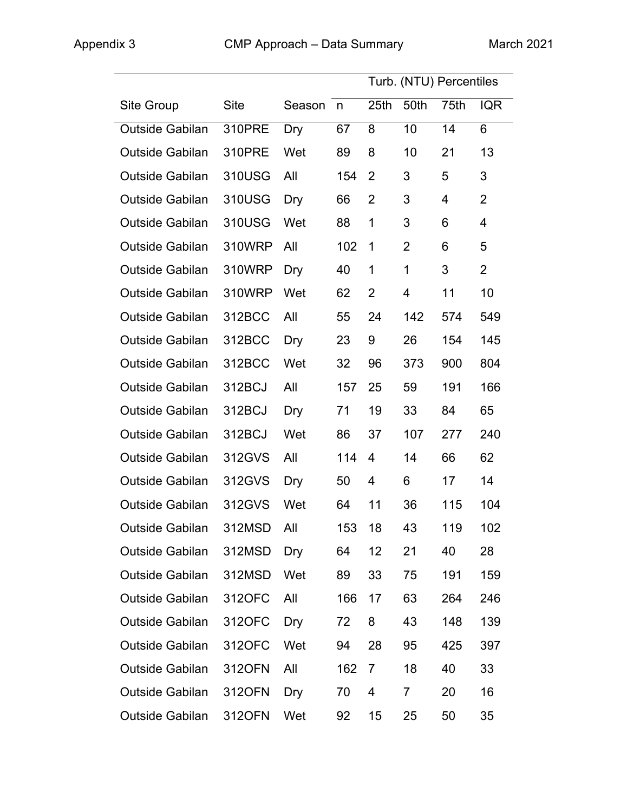|                        |             |          |     |                  |                | Turb. (NTU) Percentiles |                |
|------------------------|-------------|----------|-----|------------------|----------------|-------------------------|----------------|
| <b>Site Group</b>      | <b>Site</b> | Season n |     | 25 <sub>th</sub> | 50th           | 75th                    | <b>IQR</b>     |
| Outside Gabilan        | 310PRE      | Dry      | 67  | 8                | 10             | 14                      | 6              |
| <b>Outside Gabilan</b> | 310PRE      | Wet      | 89  | 8                | 10             | 21                      | 13             |
| Outside Gabilan        | 310USG      | All      | 154 | 2                | 3              | 5                       | 3              |
| Outside Gabilan        | 310USG      | Dry      | 66  | $\overline{2}$   | 3              | 4                       | $\overline{2}$ |
| <b>Outside Gabilan</b> | 310USG      | Wet      | 88  | 1                | 3              | 6                       | 4              |
| Outside Gabilan        | 310WRP      | All      | 102 | $\mathbf 1$      | $\overline{2}$ | 6                       | 5              |
| Outside Gabilan        | 310WRP      | Dry      | 40  | 1                | 1              | 3                       | $\overline{2}$ |
| Outside Gabilan        | 310WRP      | Wet      | 62  | $\overline{2}$   | 4              | 11                      | 10             |
| <b>Outside Gabilan</b> | 312BCC      | All      | 55  | 24               | 142            | 574                     | 549            |
| Outside Gabilan        | 312BCC      | Dry      | 23  | 9                | 26             | 154                     | 145            |
| <b>Outside Gabilan</b> | 312BCC      | Wet      | 32  | 96               | 373            | 900                     | 804            |
| <b>Outside Gabilan</b> | 312BCJ      | All      | 157 | 25               | 59             | 191                     | 166            |
| <b>Outside Gabilan</b> | 312BCJ      | Dry      | 71  | 19               | 33             | 84                      | 65             |
| <b>Outside Gabilan</b> | 312BCJ      | Wet      | 86  | 37               | 107            | 277                     | 240            |
| <b>Outside Gabilan</b> | 312GVS      | All      | 114 | $\overline{4}$   | 14             | 66                      | 62             |
| Outside Gabilan        | 312GVS      | Dry      | 50  | $\overline{4}$   | 6              | 17                      | 14             |
| <b>Outside Gabilan</b> | 312GVS      | Wet      | 64  | 11               | 36             | 115                     | 104            |
| Outside Gabilan        | 312MSD All  |          | 153 | 18               | 43             | 119                     | 102            |
| Outside Gabilan        | 312MSD      | Dry      | 64  | 12 <sub>2</sub>  | 21             | 40                      | 28             |
| <b>Outside Gabilan</b> | 312MSD      | Wet      | 89  | 33               | 75             | 191                     | 159            |
| Outside Gabilan        | 312OFC      | All      | 166 | 17               | 63             | 264                     | 246            |
| <b>Outside Gabilan</b> | 312OFC      | Dry      | 72  | 8                | 43             | 148                     | 139            |
| Outside Gabilan        | 312OFC      | Wet      | 94  | 28               | 95             | 425                     | 397            |
| <b>Outside Gabilan</b> | 312OFN      | All      | 162 | $\overline{7}$   | 18             | 40                      | 33             |
| Outside Gabilan        | 312OFN      | Dry      | 70  | 4                | 7              | 20                      | 16             |
| Outside Gabilan        | 312OFN      | Wet      | 92  | 15               | 25             | 50                      | 35             |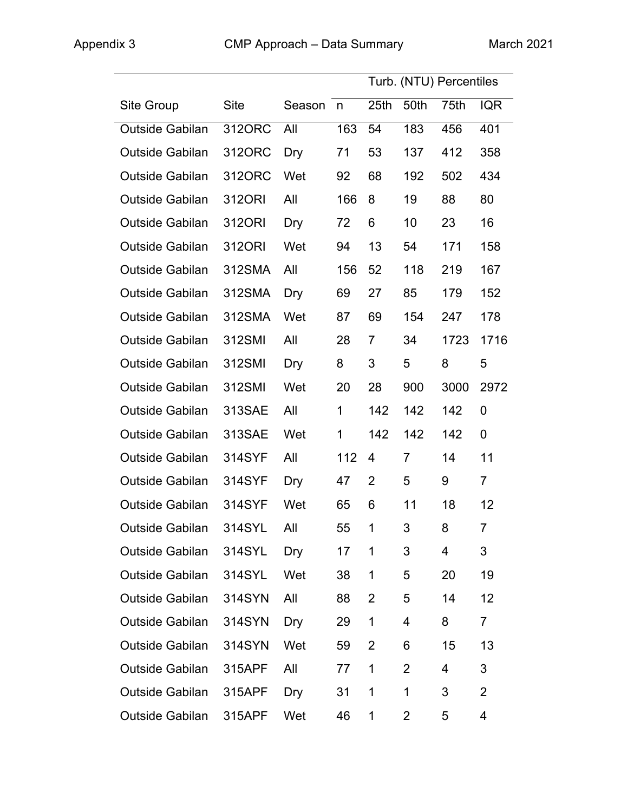|                        |             |          |              |                  |                 | Turb. (NTU) Percentiles |                |
|------------------------|-------------|----------|--------------|------------------|-----------------|-------------------------|----------------|
| <b>Site Group</b>      | <b>Site</b> | Season n |              | 25 <sub>th</sub> | 50th            | 75th                    | <b>IQR</b>     |
| Outside Gabilan        | 312ORC      | All      | 163          | 54               | 183             | 456                     | 401            |
| Outside Gabilan        | 312ORC      | Dry      | 71           | 53               | 137             | 412                     | 358            |
| Outside Gabilan        | 312ORC      | Wet      | 92           | 68               | 192             | 502                     | 434            |
| Outside Gabilan        | 3120RI      | All      | 166          | 8                | 19              | 88                      | 80             |
| <b>Outside Gabilan</b> | 312ORI      | Dry      | 72           | 6                | 10 <sup>°</sup> | 23                      | 16             |
| Outside Gabilan        | 3120RI      | Wet      | 94           | 13               | 54              | 171                     | 158            |
| Outside Gabilan        | 312SMA      | All      | 156          | 52               | 118             | 219                     | 167            |
| Outside Gabilan        | 312SMA      | Dry      | 69           | 27               | 85              | 179                     | 152            |
| Outside Gabilan        | 312SMA      | Wet      | 87           | 69               | 154             | 247                     | 178            |
| <b>Outside Gabilan</b> | 312SMI      | All      | 28           | $\overline{7}$   | 34              | 1723                    | 1716           |
| <b>Outside Gabilan</b> | 312SMI      | Dry      | 8            | 3                | 5               | 8                       | 5              |
| <b>Outside Gabilan</b> | 312SMI      | Wet      | 20           | 28               | 900             | 3000                    | 2972           |
| <b>Outside Gabilan</b> | 313SAE      | All      | $\mathbf{1}$ | 142              | 142             | 142                     | 0              |
| Outside Gabilan        | 313SAE      | Wet      | 1            | 142              | 142             | 142                     | $\overline{0}$ |
| <b>Outside Gabilan</b> | 314SYF      | All      | 112          | 4                | $\overline{7}$  | 14                      | 11             |
| Outside Gabilan        | 314SYF      | Dry      | 47           | 2                | 5               | 9                       | $\overline{7}$ |
| Outside Gabilan        | 314SYF      | Wet      | 65           | 6                | 11              | 18                      | 12             |
| Outside Gabilan        | 314SYL All  |          | 55           | $\overline{1}$   | 3               | 8                       | $\overline{7}$ |
| <b>Outside Gabilan</b> | 314SYL      | Dry      | 17           | 1                | 3               | 4                       | 3              |
| Outside Gabilan        | 314SYL      | Wet      | 38           | 1                | 5               | 20                      | 19             |
| Outside Gabilan        | 314SYN      | All      | 88           | $\overline{2}$   | 5               | 14                      | 12             |
| <b>Outside Gabilan</b> | 314SYN      | Dry      | 29           | 1                | 4               | 8                       | $\overline{7}$ |
| <b>Outside Gabilan</b> | 314SYN      | Wet      | 59           | $\overline{2}$   | 6               | 15                      | 13             |
| <b>Outside Gabilan</b> | 315APF      | All      | 77           | 1                | $\overline{2}$  | 4                       | 3              |
| Outside Gabilan        | 315APF      | Dry      | 31           | 1                | 1               | 3                       | $\overline{2}$ |
| Outside Gabilan        | 315APF      | Wet      | 46           | 1                | 2               | 5                       | 4              |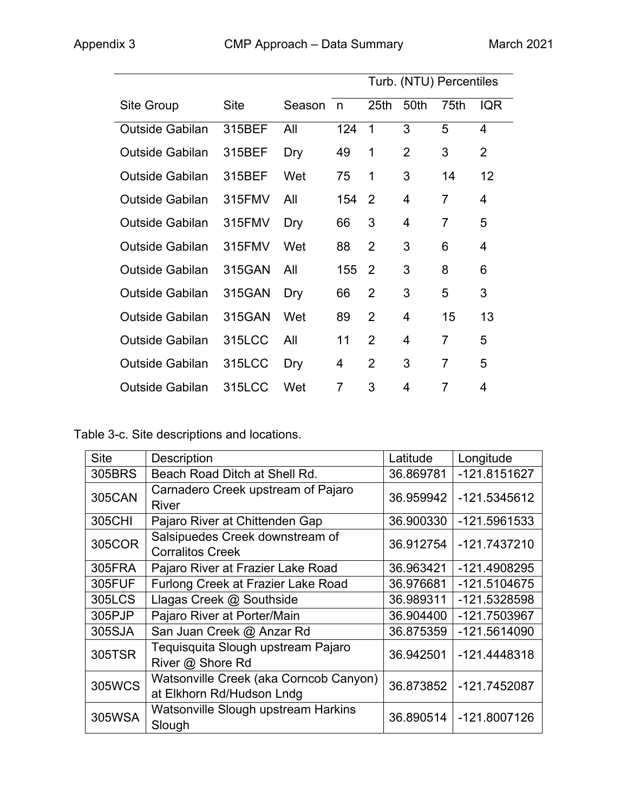|                        |             |        |     | Turb. (NTU) Percentiles |      |                |                |
|------------------------|-------------|--------|-----|-------------------------|------|----------------|----------------|
| Site Group             | <b>Site</b> | Season | n   | 25 <sub>th</sub>        | 50th | 75th           | <b>IQR</b>     |
| <b>Outside Gabilan</b> | 315BEF      | All    | 124 | 1                       | 3    | 5              | $\overline{4}$ |
| <b>Outside Gabilan</b> | 315BEF      | Dry    | 49  | 1                       | 2    | 3              | $\overline{2}$ |
| <b>Outside Gabilan</b> | 315BEF      | Wet    | 75  | 1                       | 3    | 14             | 12             |
| <b>Outside Gabilan</b> | 315FMV      | All    | 154 | 2                       | 4    | 7              | 4              |
| <b>Outside Gabilan</b> | 315FMV      | Dry    | 66  | 3                       | 4    | 7              | 5              |
| <b>Outside Gabilan</b> | 315FMV      | Wet    | 88  | $\overline{2}$          | 3    | 6              | 4              |
| <b>Outside Gabilan</b> | 315GAN      | All    | 155 | 2                       | 3    | 8              | 6              |
| <b>Outside Gabilan</b> | 315GAN      | Dry    | 66  | $\overline{2}$          | 3    | 5              | 3              |
| <b>Outside Gabilan</b> | 315GAN      | Wet    | 89  | $\overline{2}$          | 4    | 15             | 13             |
| <b>Outside Gabilan</b> | 315LCC      | All    | 11  | $\overline{2}$          | 4    | 7              | 5              |
| <b>Outside Gabilan</b> | 315LCC      | Dry    | 4   | $\overline{2}$          | 3    | $\overline{7}$ | 5              |
| <b>Outside Gabilan</b> | 315LCC      | Wet    | 7   | 3                       | 4    | 7              | 4              |

Table 3-c. Site descriptions and locations.

| <b>Site</b>   | <b>Description</b>                                                  | Latitude  | Longitude    |
|---------------|---------------------------------------------------------------------|-----------|--------------|
| 305BRS        | Beach Road Ditch at Shell Rd.                                       | 36.869781 | -121.8151627 |
| <b>305CAN</b> | Carnadero Creek upstream of Pajaro<br><b>River</b>                  | 36.959942 | -121.5345612 |
| 305CHI        | Pajaro River at Chittenden Gap                                      | 36.900330 | -121.5961533 |
| 305COR        | Salsipuedes Creek downstream of<br><b>Corralitos Creek</b>          | 36.912754 | -121.7437210 |
| 305FRA        | Pajaro River at Frazier Lake Road                                   | 36.963421 | -121.4908295 |
| 305FUF        | Furlong Creek at Frazier Lake Road                                  | 36.976681 | -121.5104675 |
| 305LCS        | Llagas Creek @ Southside                                            | 36.989311 | -121.5328598 |
| 305PJP        | Pajaro River at Porter/Main                                         | 36.904400 | -121.7503967 |
| 305SJA        | San Juan Creek @ Anzar Rd                                           | 36.875359 | -121.5614090 |
| 305TSR        | Tequisquita Slough upstream Pajaro<br>River @ Shore Rd              | 36.942501 | -121.4448318 |
| <b>305WCS</b> | Watsonville Creek (aka Corncob Canyon)<br>at Elkhorn Rd/Hudson Lndg | 36.873852 | -121.7452087 |
| 305WSA        | Watsonville Slough upstream Harkins<br>Slough                       | 36.890514 | -121.8007126 |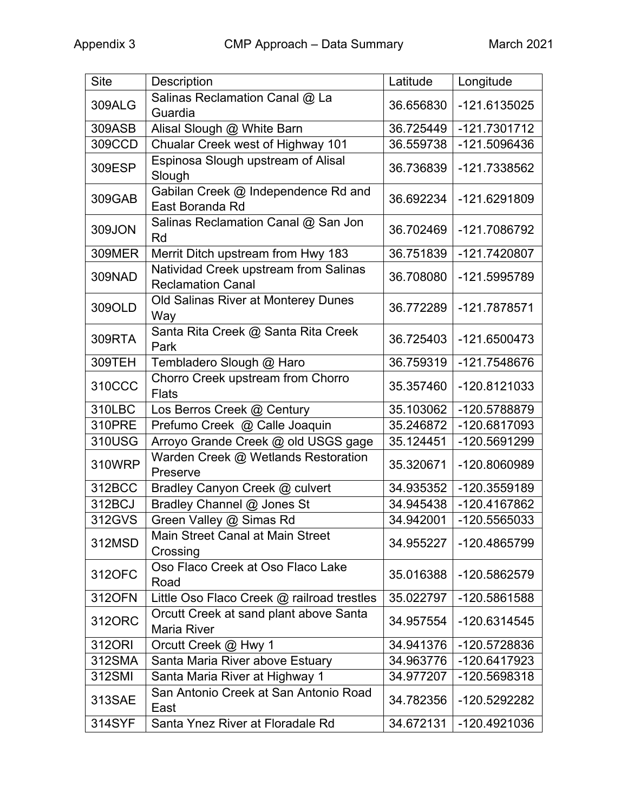| <b>Site</b> | <b>Description</b>                                                | Latitude  | Longitude    |
|-------------|-------------------------------------------------------------------|-----------|--------------|
| 309ALG      | Salinas Reclamation Canal @ La<br>Guardia                         | 36.656830 | -121.6135025 |
| 309ASB      | Alisal Slough @ White Barn                                        | 36.725449 | -121.7301712 |
| 309CCD      | Chualar Creek west of Highway 101                                 | 36.559738 | -121.5096436 |
| 309ESP      | Espinosa Slough upstream of Alisal<br>Slough                      | 36.736839 | -121.7338562 |
| 309GAB      | Gabilan Creek @ Independence Rd and<br>East Boranda Rd            | 36.692234 | -121.6291809 |
| 309JON      | Salinas Reclamation Canal @ San Jon<br>Rd                         | 36.702469 | -121.7086792 |
| 309MER      | Merrit Ditch upstream from Hwy 183                                | 36.751839 | -121.7420807 |
| 309NAD      | Natividad Creek upstream from Salinas<br><b>Reclamation Canal</b> | 36.708080 | -121.5995789 |
| 309OLD      | Old Salinas River at Monterey Dunes<br>Way                        | 36.772289 | -121.7878571 |
| 309RTA      | Santa Rita Creek @ Santa Rita Creek<br>Park                       | 36.725403 | -121.6500473 |
| 309TEH      | Tembladero Slough @ Haro                                          | 36.759319 | -121.7548676 |
| 310CCC      | Chorro Creek upstream from Chorro<br><b>Flats</b>                 | 35.357460 | -120.8121033 |
| 310LBC      | Los Berros Creek @ Century                                        | 35.103062 | -120.5788879 |
| 310PRE      | Prefumo Creek @ Calle Joaquin                                     | 35.246872 | -120.6817093 |
| 310USG      | Arroyo Grande Creek @ old USGS gage                               | 35.124451 | -120.5691299 |
| 310WRP      | Warden Creek @ Wetlands Restoration<br>Preserve                   | 35.320671 | -120.8060989 |
| 312BCC      | Bradley Canyon Creek @ culvert                                    | 34.935352 | -120.3559189 |
| 312BCJ      | Bradley Channel @ Jones St                                        | 34.945438 | -120.4167862 |
| 312GVS      | Green Valley @ Simas Rd                                           | 34.942001 | -120.5565033 |
| 312MSD      | <b>Main Street Canal at Main Street</b><br>Crossing               | 34.955227 | -120.4865799 |
| 312OFC      | Oso Flaco Creek at Oso Flaco Lake<br>Road                         | 35.016388 | -120.5862579 |
| 312OFN      | Little Oso Flaco Creek @ railroad trestles                        | 35.022797 | -120.5861588 |
| 312ORC      | Orcutt Creek at sand plant above Santa<br><b>Maria River</b>      | 34.957554 | -120.6314545 |
| 312ORI      | Orcutt Creek @ Hwy 1                                              | 34.941376 | -120.5728836 |
| 312SMA      | Santa Maria River above Estuary                                   | 34.963776 | -120.6417923 |
| 312SMI      | Santa Maria River at Highway 1                                    | 34.977207 | -120.5698318 |
| 313SAE      | San Antonio Creek at San Antonio Road<br>East                     | 34.782356 | -120.5292282 |
| 314SYF      | Santa Ynez River at Floradale Rd                                  | 34.672131 | -120.4921036 |